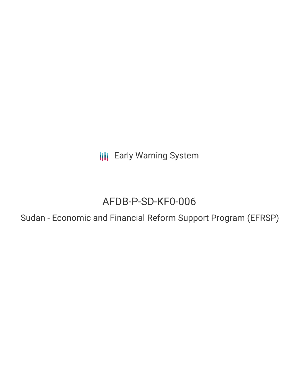**III** Early Warning System

# AFDB-P-SD-KF0-006

Sudan - Economic and Financial Reform Support Program (EFRSP)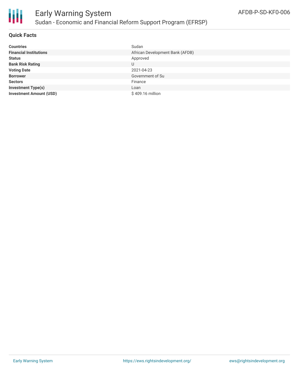

#### **Quick Facts**

| <b>Countries</b>               | Sudan                           |
|--------------------------------|---------------------------------|
| <b>Financial Institutions</b>  | African Development Bank (AFDB) |
| <b>Status</b>                  | Approved                        |
| <b>Bank Risk Rating</b>        | U                               |
| <b>Voting Date</b>             | 2021-04-23                      |
| <b>Borrower</b>                | Government of Su                |
| <b>Sectors</b>                 | Finance                         |
| <b>Investment Type(s)</b>      | Loan                            |
| <b>Investment Amount (USD)</b> | \$409.16 million                |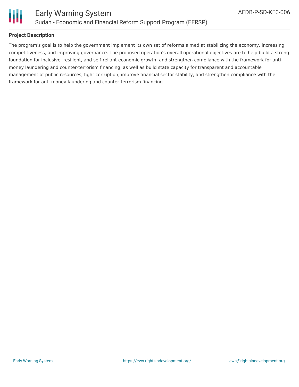

Ш

#### **Project Description**

The program's goal is to help the government implement its own set of reforms aimed at stabilizing the economy, increasing competitiveness, and improving governance. The proposed operation's overall operational objectives are to help build a strong foundation for inclusive, resilient, and self-reliant economic growth: and strengthen compliance with the framework for antimoney laundering and counter-terrorism financing, as well as build state capacity for transparent and accountable management of public resources, fight corruption, improve financial sector stability, and strengthen compliance with the framework for anti-money laundering and counter-terrorism financing.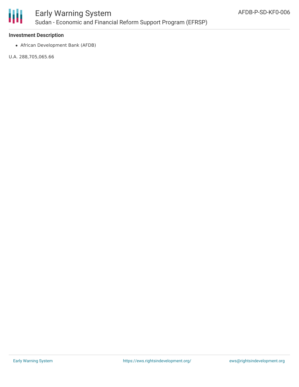

### Early Warning System Sudan - Economic and Financial Reform Support Program (EFRSP)

#### **Investment Description**

African Development Bank (AFDB)

U.A. 288,705,065.66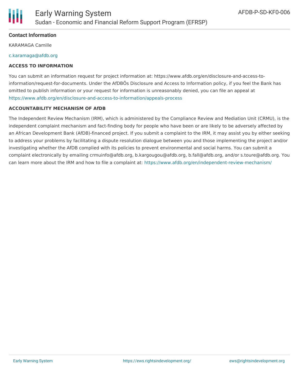

#### **Contact Information**

KARAMAGA Camille

#### [c.karamaga@afdb.org](mailto:c.karamaga@afdb.org)

#### **ACCESS TO INFORMATION**

You can submit an information request for project information at: https://www.afdb.org/en/disclosure-and-access-toinformation/request-for-documents. Under the AfDBÕs Disclosure and Access to Information policy, if you feel the Bank has omitted to publish information or your request for information is unreasonably denied, you can file an appeal at <https://www.afdb.org/en/disclosure-and-access-to-information/appeals-process>

#### **ACCOUNTABILITY MECHANISM OF AfDB**

The Independent Review Mechanism (IRM), which is administered by the Compliance Review and Mediation Unit (CRMU), is the independent complaint mechanism and fact-finding body for people who have been or are likely to be adversely affected by an African Development Bank (AfDB)-financed project. If you submit a complaint to the IRM, it may assist you by either seeking to address your problems by facilitating a dispute resolution dialogue between you and those implementing the project and/or investigating whether the AfDB complied with its policies to prevent environmental and social harms. You can submit a complaint electronically by emailing crmuinfo@afdb.org, b.kargougou@afdb.org, b.fall@afdb.org, and/or s.toure@afdb.org. You can learn more about the IRM and how to file a complaint at: <https://www.afdb.org/en/independent-review-mechanism/>